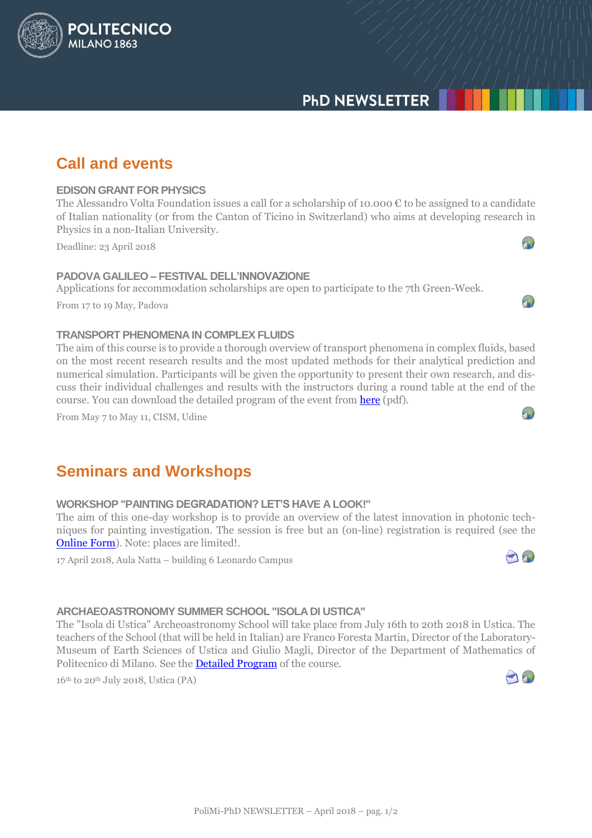# **PHD NEWSLETTER**

# **Call and events**

**POLITECNICO** 

MILANO<sub>1863</sub>

### **EDISON GRANT FOR PHYSICS**

The Alessandro Volta Foundation issues a call for a scholarship of 10.000 € to be assigned to a candidate of Italian nationality (or from the Canton of Ticino in Switzerland) who aims at developing research in Physics in a non-Italian University.

Deadline: 23 April 2018

### **PADOVA GALILEO – FESTIVAL DELL'INNOVAZIONE**

Applications for accommodation scholarships are open to participate to the 7th Green-Week.

From 17 to 19 May, Padova

### **TRANSPORT PHENOMENA IN COMPLEX FLUIDS**

The aim of this course is to provide a thorough overview of transport phenomena in complex fluids, based on the most recent research results and the most updated methods for their analytical prediction and numerical simulation. Participants will be given the opportunity to present their own research, and discuss their individual challenges and results with the instructors during a round table at the end of the course. You can download the detailed program of the event fro[m here](http://www.dottorato.polimi.it/fileadmin/files/dottorato/newsletter/allegati/2018-04/Transport_Phenomena_in_Complex_Fluids.pdf) (pdf).

From May 7 to May 11, CISM, Udine

# **Seminars and Workshops**

## **WORKSHOP "PAINTING DEGRADATION? LET'S HAVE A LOOK!"**

The aim of this one-day workshop is to provide an overview of the latest innovation in photonic techniques for painting investigation. The session is free but an (on-line) registration is required (see the [Online Form\)](https://docs.google.com/forms/d/e/1FAIpQLSeR79x1Hcjv-Y7NRWe9K9YBDFOt_1SxPMUfFTunbcInkZOADA/viewform). Note: places are limited!.

17 April 2018, Aula Natta – building 6 Leonardo Campus



 $\sqrt{1}$ 

 $\sqrt{1}$ 

 $\sqrt{1}$ 

## **ARCHAEOASTRONOMY SUMMER SCHOOL "ISOLA DI USTICA"**

The "Isola di Ustica" Archeoastronomy School will take place from July 16th to 20th 2018 in Ustica. The teachers of the School (that will be held in Italian) are Franco Foresta Martin, Director of the Laboratory-Museum of Earth Sciences of Ustica and Giulio Magli, Director of the Department of Mathematics of Politecnico di Milano. See the [Detailed Program](http://www.dottorato.polimi.it/fileadmin/files/dottorato/newsletter/allegati/2018-01/CORSO_DI_ARCHEOASTRONOMIA_2018.pdf) of the course.

 $16<sup>th</sup>$  to 20<sup>th</sup> July 2018, Ustica (PA)